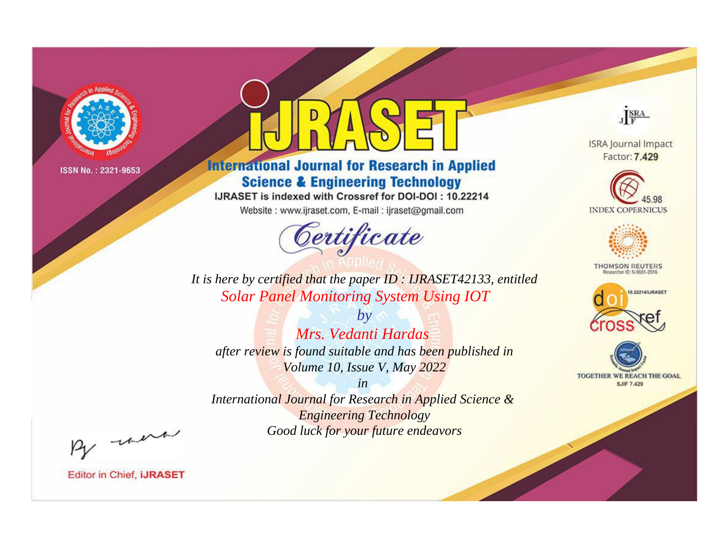

# **International Journal for Research in Applied Science & Engineering Technology**

IJRASET is indexed with Crossref for DOI-DOI: 10.22214

Website: www.ijraset.com, E-mail: ijraset@gmail.com



JERA

**ISRA Journal Impact** Factor: 7.429





**THOMSON REUTERS** 



TOGETHER WE REACH THE GOAL **SJIF 7.429** 

It is here by certified that the paper ID: IJRASET42133, entitled **Solar Panel Monitoring System Using IOT** 

 $b\nu$ Mrs. Vedanti Hardas after review is found suitable and has been published in Volume 10, Issue V, May 2022

 $in$ International Journal for Research in Applied Science & **Engineering Technology** Good luck for your future endeavors

By morn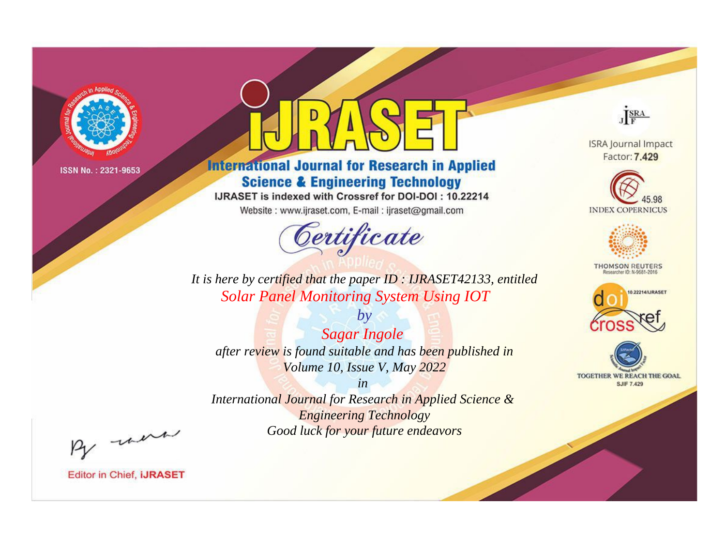

# **International Journal for Research in Applied Science & Engineering Technology**

IJRASET is indexed with Crossref for DOI-DOI: 10.22214

Website: www.ijraset.com, E-mail: ijraset@gmail.com



JERA

**ISRA Journal Impact** Factor: 7.429





**THOMSON REUTERS** 



TOGETHER WE REACH THE GOAL **SJIF 7.429** 

*It is here by certified that the paper ID : IJRASET42133, entitled Solar Panel Monitoring System Using IOT*

*by Sagar Ingole after review is found suitable and has been published in Volume 10, Issue V, May 2022*

*in* 

*International Journal for Research in Applied Science & Engineering Technology Good luck for your future endeavors*

By morn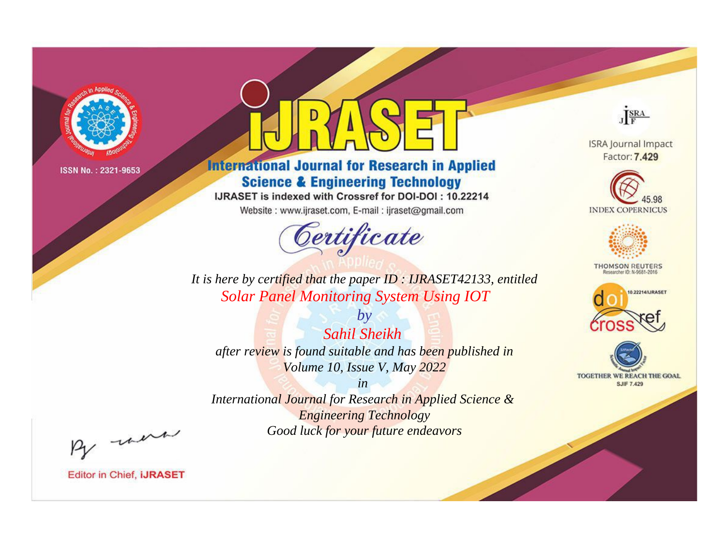

# **International Journal for Research in Applied Science & Engineering Technology**

IJRASET is indexed with Crossref for DOI-DOI: 10.22214

Website: www.ijraset.com, E-mail: ijraset@gmail.com



JERA **ISRA Journal Impact** 

Factor: 7.429





**THOMSON REUTERS** 



TOGETHER WE REACH THE GOAL **SJIF 7.429** 

*It is here by certified that the paper ID : IJRASET42133, entitled Solar Panel Monitoring System Using IOT*

*by Sahil Sheikh after review is found suitable and has been published in Volume 10, Issue V, May 2022*

*in* 

*International Journal for Research in Applied Science & Engineering Technology Good luck for your future endeavors*

By morn